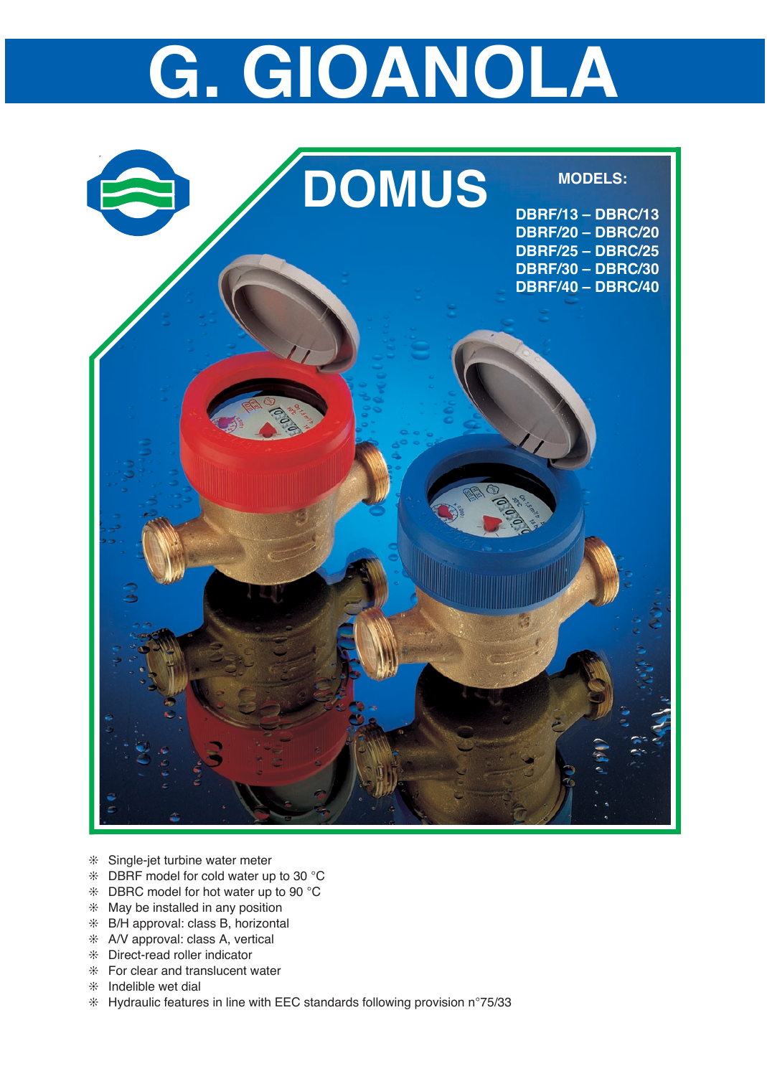## **G. GIOANOLA**



- ❊ Single-jet turbine water meter
- ❊ DBRF model for cold water up to 30 °C
- ❊ DBRC model for hot water up to 90 °C
- ❊ May be installed in any position
- ❊ B/H approval: class B, horizontal
- ❊ A/V approval: class A, vertical
- ❊ Direct-read roller indicator
- ❊ For clear and translucent water
- ❊ Indelible wet dial
- ❊ Hydraulic features in line with EEC standards following provision n°75/33